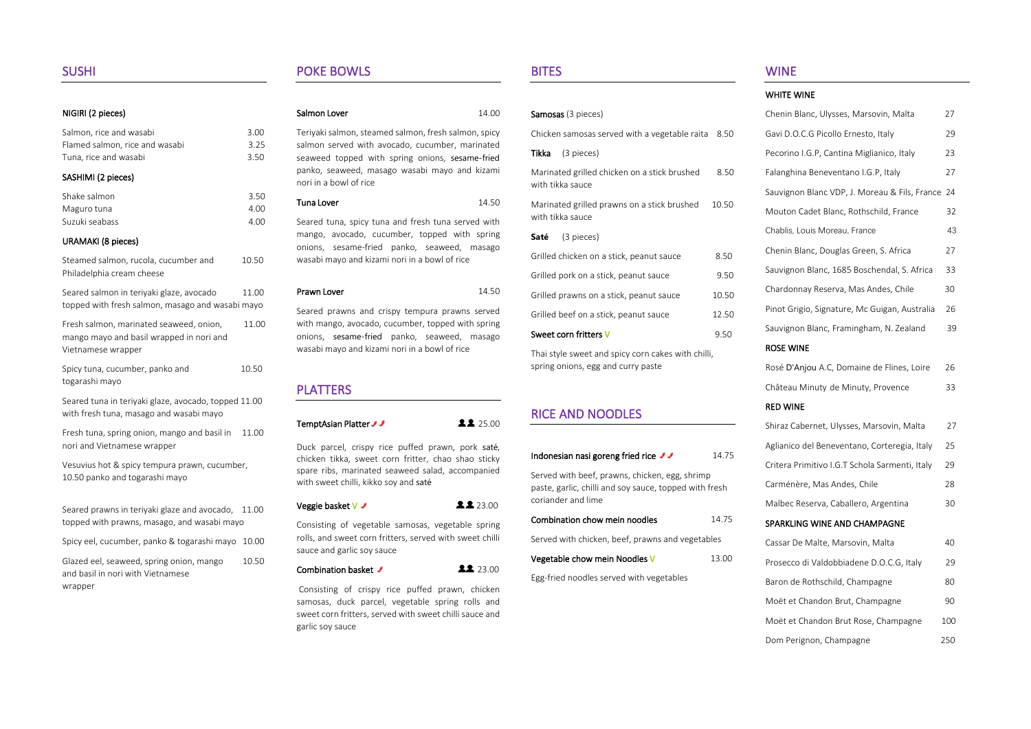### NIGIRI (2 pieces)

| Salmon, rice and wasabi                                                                                   | 3.00  |
|-----------------------------------------------------------------------------------------------------------|-------|
| Flamed salmon, rice and wasabi                                                                            | 3.25  |
| Tuna, rice and wasabi                                                                                     | 3.50  |
| SASHIMI (2 pieces)                                                                                        |       |
| Shake salmon                                                                                              | 3.50  |
| Maguro tuna                                                                                               | 4.00  |
| Suzuki seabass                                                                                            | 4.00  |
| <b>URAMAKI</b> (8 pieces)                                                                                 |       |
| Steamed salmon, rucola, cucumber and<br>Philadelphia cream cheese                                         | 10.50 |
| Seared salmon in teriyaki glaze, avocado<br>topped with fresh salmon, masago and wasabi mayo              | 11.00 |
| Fresh salmon, marinated seaweed, onion,<br>mango mayo and basil wrapped in nori and<br>Vietnamese wrapper | 11.00 |
| Spicy tuna, cucumber, panko and<br>togarashi mayo                                                         | 10.50 |
| Seared tuna in teriyaki glaze, avocado, topped 11.00<br>with fresh tuna, masago and wasabi mayo           |       |
| Fresh tuna, spring onion, mango and basil in<br>nori and Vietnamese wrapper                               | 11.00 |
| Vesuvius hot & spicy tempura prawn, cucumber,<br>10.50 panko and togarashi mayo                           |       |
| Seared prawns in teriyaki glaze and avocado,<br>topped with prawns, masago, and wasabi mayo               | 11.00 |
| Spicy eel, cucumber, panko & togarashi mayo                                                               | 10.00 |
| Glazed eel, seaweed, spring onion, mango<br>and basil in nori with Vietnamese<br>wrapper                  | 10.50 |
|                                                                                                           |       |

## POKE BOWLS

| Salmon Lover | 14.00 |
|--------------|-------|
|              |       |

Teriyaki salmon, steamed salmon, fresh salmon, spicy salmon served with avocado, cucumber, marinated seaweed topped with spring onions, sesame-fried panko, seaweed, masago wasabi mayo and kizami nori in a bowl of rice

# Tuna Lover 14.50

Seared tuna, spicy tuna and fresh tuna served with mango, avocado, cucumber, topped with spring onions, sesame-fried panko, seaweed, masago wasabi mayo and kizami nori in a bowl of rice

Prawn Lover 14.50

Seared prawns and crispy tempura prawns served with mango, avocado, cucumber, topped with spring onions, sesame-fried panko, seaweed, masago wasabi mayo and kizami nori in a bowl of rice

# PLATTERS

TemptAsian Platter 2 25.00

Duck parcel, crispy rice puffed prawn, pork saté, chicken tikka, sweet corn fritter, chao shao sticky spare ribs, marinated seaweed salad, accompanied with sweet chilli, kikko soy and saté

| Veggie basket V <i>J</i> |  | 22.00 |
|--------------------------|--|-------|
|--------------------------|--|-------|

Consisting of vegetable samosas, vegetable spring rolls, and sweet corn fritters, served with sweet chilli sauce and garlic soy sauce

### Combination basket ✔ 23.00

Consisting of crispy rice puffed prawn, chicken samosas, duck parcel, vegetable spring rolls and sweet corn fritters, served with sweet chilli sauce and garlic soy sauce

## BITES

|                                                                              |       | WHI                 |
|------------------------------------------------------------------------------|-------|---------------------|
| Samosas (3 pieces)                                                           |       | Chel                |
| Chicken samosas served with a vegetable raita                                | 8.50  | Gavi                |
| (3 pieces)<br>Tikka                                                          |       | Peco                |
| Marinated grilled chicken on a stick brushed<br>with tikka sauce             | 8.50  | Fala<br><b>Sauv</b> |
| Marinated grilled prawns on a stick brushed<br>with tikka sauce              | 10.50 | Mou                 |
| (3 pieces)<br>Saté                                                           |       | Chal                |
| Grilled chicken on a stick, peanut sauce                                     | 8.50  | Chel                |
| Grilled pork on a stick, peanut sauce                                        | 9.50  | Sau                 |
| Grilled prawns on a stick, peanut sauce                                      | 10.50 | Char                |
| Grilled beef on a stick, peanut sauce                                        | 12.50 | Pino                |
| Sweet corn fritters V                                                        | 9.50  | <b>Sauv</b>         |
| Thai style sweet and spicy corn cakes with chilli,                           |       | <b>ROS</b>          |
| spring onions, egg and curry paste                                           |       | Rose                |
|                                                                              |       | Chât                |
| <b>RICE AND NOODLES</b>                                                      |       | RED                 |
|                                                                              |       | Shira               |
| Indonesian nasi goreng fried rice JJ                                         | 14.75 | Aglia               |
| Served with beef, prawns, chicken, egg, shrimp                               |       | Crite               |
| paste, garlic, chilli and soy sauce, topped with fresh<br>coriander and lime |       | Carr                |
| Combination chow mein noodles                                                |       | Mall                |
|                                                                              | 14.75 | SPAI                |
| Served with chicken, beef, prawns and vegetables                             |       | Cass                |
| Vegetable chow mein Noodles V                                                | 13.00 | Pros                |
| Egg-fried noodles served with vegetables                                     |       | Barc                |
|                                                                              |       | Moë                 |
|                                                                              |       | Moe                 |

# WINE

| WHITE WINE                                     |     |
|------------------------------------------------|-----|
| Chenin Blanc, Ulysses, Marsovin, Malta         | 27  |
| Gavi D.O.C.G Picollo Ernesto, Italy            | 29  |
| Pecorino I.G.P, Cantina Miglianico, Italy      | 23  |
| Falanghina Beneventano I.G.P, Italy            | 27  |
| Sauvignon Blanc VDP, J. Moreau & Fils, France  | 24  |
| Mouton Cadet Blanc, Rothschild, France         | 32  |
| Chablis, Louis Moreau, France                  | 43  |
| Chenin Blanc, Douglas Green, S. Africa         | 27  |
| Sauvignon Blanc, 1685 Boschendal, S. Africa    | 33  |
| Chardonnay Reserva, Mas Andes, Chile           | 30  |
| Pinot Grigio, Signature, Mc Guigan, Australia  | 26  |
| Sauvignon Blanc, Framingham, N. Zealand        | 39  |
| <b>ROSE WINE</b>                               |     |
| Rosé D'Anjou A.C, Domaine de Flines, Loire     | 26  |
| Château Minuty de Minuty, Provence             | 33  |
| <b>RED WINE</b>                                |     |
| Shiraz Cabernet, Ulysses, Marsovin, Malta      | 27  |
| Aglianico del Beneventano, Corteregia, Italy   | 25  |
| Critera Primitivo I.G.T Schola Sarmenti, Italy | 29  |
| Carménère, Mas Andes, Chile                    | 28  |
| Malbec Reserva, Caballero, Argentina           | 30  |
| SPARKLING WINE AND CHAMPAGNE                   |     |
| Cassar De Malte, Marsovin, Malta               | 40  |
| Prosecco di Valdobbiadene D.O.C.G, Italy       | 29  |
| Baron de Rothschild, Champagne                 | 80  |
| Moët et Chandon Brut, Champagne                | 90  |
| Moët et Chandon Brut Rose, Champagne           | 100 |
| Dom Perignon, Champagne                        | 250 |